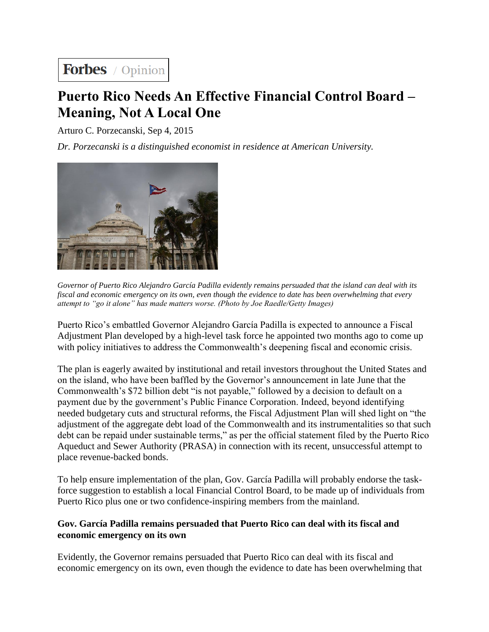# Forbes / Opinion

# **Puerto Rico Needs An Effective Financial Control Board – Meaning, Not A Local One**

Arturo C. Porzecanski, Sep 4, 2015

*Dr. Porzecanski is a distinguished economist in residence at American University.*



*Governor of Puerto Rico Alejandro García Padilla evidently remains persuaded that the island can deal with its fiscal and economic emergency on its own, even though the evidence to date has been overwhelming that every attempt to "go it alone" has made matters worse. (Photo by Joe Raedle/Getty Images)*

Puerto Rico's embattled Governor Alejandro García Padilla is expected to announce a Fiscal Adjustment Plan developed by a high-level task force he appointed two months ago to come up with policy initiatives to address the Commonwealth's deepening fiscal and economic crisis.

The plan is eagerly awaited by institutional and retail investors throughout the United States and on the island, who have been baffled by the Governor's announcement in late June that the Commonwealth's \$72 billion debt "is not payable," followed by a decision to default on a payment due by the government's Public Finance Corporation. Indeed, beyond identifying needed budgetary cuts and structural reforms, the Fiscal Adjustment Plan will shed light on "the adjustment of the aggregate debt load of the Commonwealth and its instrumentalities so that such debt can be repaid under sustainable terms," as per the official statement filed by the Puerto Rico Aqueduct and Sewer Authority (PRASA) in connection with its recent, unsuccessful attempt to place revenue-backed bonds.

To help ensure implementation of the plan, Gov. García Padilla will probably endorse the taskforce suggestion to establish a local Financial Control Board, to be made up of individuals from Puerto Rico plus one or two confidence-inspiring members from the mainland.

### **Gov. García Padilla remains persuaded that Puerto Rico can deal with its fiscal and economic emergency on its own**

Evidently, the Governor remains persuaded that Puerto Rico can deal with its fiscal and economic emergency on its own, even though the evidence to date has been overwhelming that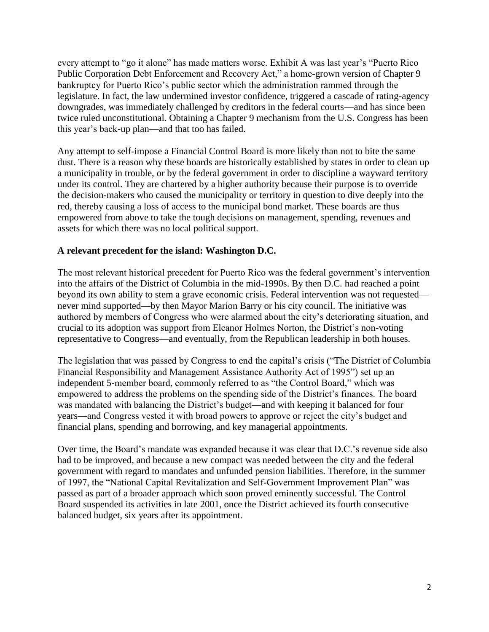every attempt to "go it alone" has made matters worse. Exhibit A was last year's "Puerto Rico Public Corporation Debt Enforcement and Recovery Act," a home-grown version of Chapter 9 bankruptcy for Puerto Rico's public sector which the administration rammed through the legislature. In fact, the law undermined investor confidence, triggered a cascade of rating-agency downgrades, was immediately challenged by creditors in the federal courts—and has since been twice ruled unconstitutional. Obtaining a Chapter 9 mechanism from the U.S. Congress has been this year's back-up plan—and that too has failed.

Any attempt to self-impose a Financial Control Board is more likely than not to bite the same dust. There is a reason why these boards are historically established by states in order to clean up a municipality in trouble, or by the federal government in order to discipline a wayward territory under its control. They are chartered by a higher authority because their purpose is to override the decision-makers who caused the municipality or territory in question to dive deeply into the red, thereby causing a loss of access to the municipal bond market. These boards are thus empowered from above to take the tough decisions on management, spending, revenues and assets for which there was no local political support.

### **A relevant precedent for the island: Washington D.C.**

The most relevant historical precedent for Puerto Rico was the federal government's intervention into the affairs of the District of Columbia in the mid-1990s. By then D.C. had reached a point beyond its own ability to stem a grave economic crisis. Federal intervention was not requested never mind supported—by then Mayor Marion Barry or his city council. The initiative was authored by members of Congress who were alarmed about the city's deteriorating situation, and crucial to its adoption was support from Eleanor Holmes Norton, the District's non-voting representative to Congress—and eventually, from the Republican leadership in both houses.

The legislation that was passed by Congress to end the capital's crisis ("The District of Columbia Financial Responsibility and Management Assistance Authority Act of 1995") set up an independent 5-member board, commonly referred to as "the Control Board," which was empowered to address the problems on the spending side of the District's finances. The board was mandated with balancing the District's budget—and with keeping it balanced for four years—and Congress vested it with broad powers to approve or reject the city's budget and financial plans, spending and borrowing, and key managerial appointments.

Over time, the Board's mandate was expanded because it was clear that D.C.'s revenue side also had to be improved, and because a new compact was needed between the city and the federal government with regard to mandates and unfunded pension liabilities. Therefore, in the summer of 1997, the "National Capital Revitalization and Self-Government Improvement Plan" was passed as part of a broader approach which soon proved eminently successful. The Control Board suspended its activities in late 2001, once the District achieved its fourth consecutive balanced budget, six years after its appointment.